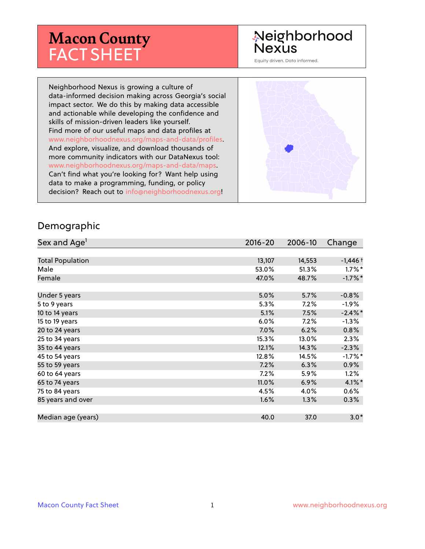# **Macon County** FACT SHEET

# Neighborhood **Nexus**

Equity driven. Data informed.

Neighborhood Nexus is growing a culture of data-informed decision making across Georgia's social impact sector. We do this by making data accessible and actionable while developing the confidence and skills of mission-driven leaders like yourself. Find more of our useful maps and data profiles at www.neighborhoodnexus.org/maps-and-data/profiles. And explore, visualize, and download thousands of more community indicators with our DataNexus tool: www.neighborhoodnexus.org/maps-and-data/maps. Can't find what you're looking for? Want help using data to make a programming, funding, or policy decision? Reach out to [info@neighborhoodnexus.org!](mailto:info@neighborhoodnexus.org)



#### Demographic

| Sex and Age <sup>1</sup> | $2016 - 20$ | 2006-10 | Change     |
|--------------------------|-------------|---------|------------|
|                          |             |         |            |
| <b>Total Population</b>  | 13,107      | 14,553  | $-1,446+$  |
| Male                     | 53.0%       | 51.3%   | $1.7\%$ *  |
| Female                   | 47.0%       | 48.7%   | $-1.7\%$ * |
|                          |             |         |            |
| Under 5 years            | 5.0%        | 5.7%    | $-0.8%$    |
| 5 to 9 years             | $5.3\%$     | 7.2%    | $-1.9\%$   |
| 10 to 14 years           | 5.1%        | 7.5%    | $-2.4\%$ * |
| 15 to 19 years           | 6.0%        | 7.2%    | $-1.3\%$   |
| 20 to 24 years           | $7.0\%$     | 6.2%    | 0.8%       |
| 25 to 34 years           | 15.3%       | 13.0%   | 2.3%       |
| 35 to 44 years           | 12.1%       | 14.3%   | $-2.3%$    |
| 45 to 54 years           | 12.8%       | 14.5%   | $-1.7%$ *  |
| 55 to 59 years           | 7.2%        | 6.3%    | 0.9%       |
| 60 to 64 years           | $7.2\%$     | 5.9%    | 1.2%       |
| 65 to 74 years           | 11.0%       | 6.9%    | $4.1\%$ *  |
| 75 to 84 years           | 4.5%        | 4.0%    | 0.6%       |
| 85 years and over        | 1.6%        | $1.3\%$ | $0.3\%$    |
|                          |             |         |            |
| Median age (years)       | 40.0        | 37.0    | $3.0*$     |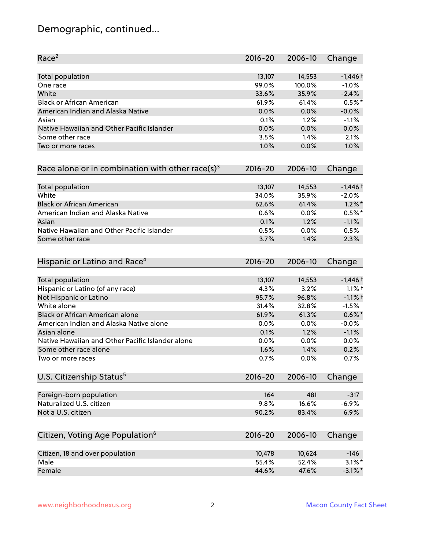# Demographic, continued...

| Race <sup>2</sup>                                            | $2016 - 20$ | 2006-10 | Change     |
|--------------------------------------------------------------|-------------|---------|------------|
| <b>Total population</b>                                      | 13,107      | 14,553  | $-1,446+$  |
| One race                                                     | 99.0%       | 100.0%  | $-1.0%$    |
| White                                                        | 33.6%       | 35.9%   | $-2.4%$    |
| <b>Black or African American</b>                             | 61.9%       | 61.4%   | $0.5%$ *   |
| American Indian and Alaska Native                            | 0.0%        | 0.0%    | $-0.0%$    |
| Asian                                                        | 0.1%        | 1.2%    | $-1.1%$    |
| Native Hawaiian and Other Pacific Islander                   | 0.0%        | 0.0%    | 0.0%       |
| Some other race                                              | 3.5%        | 1.4%    | 2.1%       |
| Two or more races                                            | 1.0%        | 0.0%    | 1.0%       |
| Race alone or in combination with other race(s) <sup>3</sup> | $2016 - 20$ | 2006-10 | Change     |
| Total population                                             | 13,107      | 14,553  | $-1,446+$  |
| White                                                        | 34.0%       | 35.9%   | $-2.0%$    |
| <b>Black or African American</b>                             | 62.6%       | 61.4%   | $1.2\%$ *  |
| American Indian and Alaska Native                            | 0.6%        | 0.0%    | $0.5%$ *   |
| Asian                                                        | 0.1%        | 1.2%    | $-1.1%$    |
| Native Hawaiian and Other Pacific Islander                   | 0.5%        | 0.0%    | 0.5%       |
| Some other race                                              | 3.7%        | 1.4%    | 2.3%       |
| Hispanic or Latino and Race <sup>4</sup>                     | $2016 - 20$ | 2006-10 | Change     |
| <b>Total population</b>                                      | 13,107      | 14,553  | $-1,446+$  |
| Hispanic or Latino (of any race)                             | 4.3%        | 3.2%    | $1.1%$ †   |
| Not Hispanic or Latino                                       | 95.7%       | 96.8%   | $-1.1%$ +  |
| White alone                                                  | 31.4%       | 32.8%   | $-1.5%$    |
| Black or African American alone                              | 61.9%       | 61.3%   | $0.6\%$ *  |
| American Indian and Alaska Native alone                      | 0.0%        | $0.0\%$ | $-0.0%$    |
| Asian alone                                                  | 0.1%        | 1.2%    | $-1.1%$    |
| Native Hawaiian and Other Pacific Islander alone             | 0.0%        | 0.0%    | 0.0%       |
| Some other race alone                                        | 1.6%        | 1.4%    | 0.2%       |
| Two or more races                                            | 0.7%        | 0.0%    | 0.7%       |
| U.S. Citizenship Status <sup>5</sup>                         | $2016 - 20$ | 2006-10 | Change     |
| Foreign-born population                                      | 164         | 481     | $-317$     |
| Naturalized U.S. citizen                                     | 9.8%        | 16.6%   | $-6.9%$    |
| Not a U.S. citizen                                           | 90.2%       | 83.4%   | 6.9%       |
| Citizen, Voting Age Population <sup>6</sup>                  | $2016 - 20$ | 2006-10 | Change     |
| Citizen, 18 and over population                              | 10,478      | 10,624  | $-146$     |
| Male                                                         | 55.4%       | 52.4%   | $3.1\%$ *  |
| Female                                                       | 44.6%       | 47.6%   | $-3.1\%$ * |
|                                                              |             |         |            |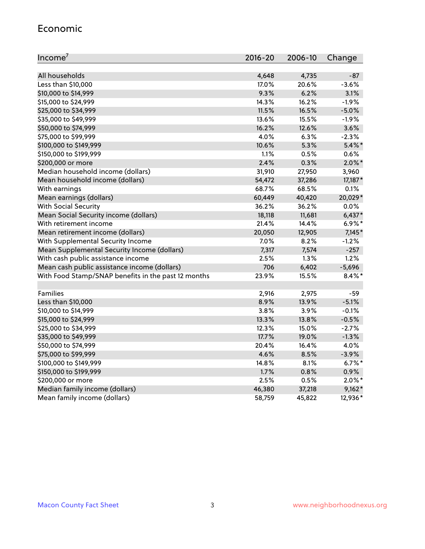#### Economic

| Income <sup>7</sup>                                 | $2016 - 20$ | 2006-10 | Change    |
|-----------------------------------------------------|-------------|---------|-----------|
|                                                     |             |         |           |
| All households                                      | 4,648       | 4,735   | $-87$     |
| Less than \$10,000                                  | 17.0%       | 20.6%   | $-3.6%$   |
| \$10,000 to \$14,999                                | 9.3%        | 6.2%    | 3.1%      |
| \$15,000 to \$24,999                                | 14.3%       | 16.2%   | $-1.9%$   |
| \$25,000 to \$34,999                                | 11.5%       | 16.5%   | $-5.0%$   |
| \$35,000 to \$49,999                                | 13.6%       | 15.5%   | $-1.9%$   |
| \$50,000 to \$74,999                                | 16.2%       | 12.6%   | 3.6%      |
| \$75,000 to \$99,999                                | 4.0%        | 6.3%    | $-2.3%$   |
| \$100,000 to \$149,999                              | 10.6%       | 5.3%    | $5.4\%$ * |
| \$150,000 to \$199,999                              | 1.1%        | 0.5%    | 0.6%      |
| \$200,000 or more                                   | 2.4%        | 0.3%    | $2.0\%$ * |
| Median household income (dollars)                   | 31,910      | 27,950  | 3,960     |
| Mean household income (dollars)                     | 54,472      | 37,286  | 17,187*   |
| With earnings                                       | 68.7%       | 68.5%   | 0.1%      |
| Mean earnings (dollars)                             | 60,449      | 40,420  | 20,029*   |
| <b>With Social Security</b>                         | 36.2%       | 36.2%   | 0.0%      |
| Mean Social Security income (dollars)               | 18,118      | 11,681  | $6,437*$  |
| With retirement income                              | 21.4%       | 14.4%   | $6.9\%*$  |
| Mean retirement income (dollars)                    | 20,050      | 12,905  | $7,145*$  |
| With Supplemental Security Income                   | 7.0%        | 8.2%    | $-1.2%$   |
| Mean Supplemental Security Income (dollars)         | 7,317       | 7,574   | $-257$    |
| With cash public assistance income                  | 2.5%        | 1.3%    | 1.2%      |
| Mean cash public assistance income (dollars)        | 706         | 6,402   | $-5,696$  |
| With Food Stamp/SNAP benefits in the past 12 months | 23.9%       | 15.5%   | $8.4\%$ * |
|                                                     |             |         |           |
| Families                                            | 2,916       | 2,975   | $-59$     |
| Less than \$10,000                                  | 8.9%        | 13.9%   | $-5.1%$   |
| \$10,000 to \$14,999                                | 3.8%        | 3.9%    | $-0.1%$   |
| \$15,000 to \$24,999                                | 13.3%       | 13.8%   | $-0.5%$   |
| \$25,000 to \$34,999                                | 12.3%       | 15.0%   | $-2.7%$   |
| \$35,000 to \$49,999                                | 17.7%       | 19.0%   | $-1.3%$   |
| \$50,000 to \$74,999                                | 20.4%       | 16.4%   | 4.0%      |
| \$75,000 to \$99,999                                | 4.6%        | 8.5%    | $-3.9%$   |
| \$100,000 to \$149,999                              | 14.8%       | 8.1%    | $6.7%$ *  |
| \$150,000 to \$199,999                              | 1.7%        | 0.8%    | 0.9%      |
| \$200,000 or more                                   | 2.5%        | 0.5%    | $2.0\%$ * |
| Median family income (dollars)                      | 46,380      | 37,218  | $9,162*$  |
| Mean family income (dollars)                        | 58,759      | 45,822  | 12,936*   |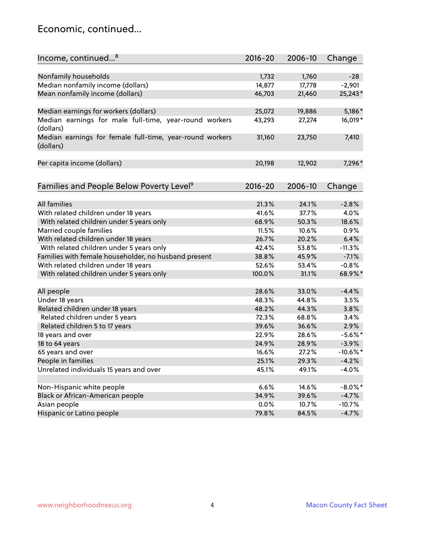### Economic, continued...

| Income, continued <sup>8</sup>                           | $2016 - 20$ | 2006-10 | Change      |
|----------------------------------------------------------|-------------|---------|-------------|
|                                                          |             |         |             |
| Nonfamily households                                     | 1,732       | 1,760   | $-28$       |
| Median nonfamily income (dollars)                        | 14,877      | 17,778  | $-2,901$    |
| Mean nonfamily income (dollars)                          | 46,703      | 21,460  | 25,243*     |
|                                                          |             |         |             |
| Median earnings for workers (dollars)                    | 25,072      | 19,886  | 5,186*      |
| Median earnings for male full-time, year-round workers   | 43,293      | 27,274  | 16,019*     |
| (dollars)                                                |             |         |             |
| Median earnings for female full-time, year-round workers | 31,160      | 23,750  | 7,410       |
| (dollars)                                                |             |         |             |
|                                                          |             |         |             |
| Per capita income (dollars)                              | 20,198      | 12,902  | 7,296*      |
|                                                          |             |         |             |
| Families and People Below Poverty Level <sup>9</sup>     | $2016 - 20$ | 2006-10 | Change      |
|                                                          |             |         |             |
| All families                                             | 21.3%       | 24.1%   | $-2.8%$     |
| With related children under 18 years                     | 41.6%       | 37.7%   | 4.0%        |
| With related children under 5 years only                 | 68.9%       | 50.3%   | 18.6%       |
| Married couple families                                  | 11.5%       | 10.6%   | 0.9%        |
| With related children under 18 years                     | 26.7%       | 20.2%   | 6.4%        |
| With related children under 5 years only                 | 42.4%       | 53.8%   | $-11.3%$    |
| Families with female householder, no husband present     | 38.8%       | 45.9%   | $-7.1%$     |
| With related children under 18 years                     | 52.6%       | 53.4%   | $-0.8%$     |
| With related children under 5 years only                 | 100.0%      | 31.1%   | 68.9%*      |
|                                                          |             |         |             |
| All people                                               | 28.6%       | 33.0%   | $-4.4%$     |
| Under 18 years                                           | 48.3%       | 44.8%   | 3.5%        |
| Related children under 18 years                          | 48.2%       | 44.3%   | 3.8%        |
| Related children under 5 years                           | 72.3%       | 68.8%   | 3.4%        |
| Related children 5 to 17 years                           | 39.6%       | 36.6%   | 2.9%        |
| 18 years and over                                        | 22.9%       | 28.6%   | $-5.6\%$ *  |
| 18 to 64 years                                           | 24.9%       | 28.9%   | $-3.9%$     |
| 65 years and over                                        | 16.6%       | 27.2%   | $-10.6\%$ * |
| People in families                                       | 25.1%       | 29.3%   | $-4.2%$     |
| Unrelated individuals 15 years and over                  | 45.1%       | 49.1%   | $-4.0%$     |
|                                                          |             |         |             |
| Non-Hispanic white people                                | 6.6%        | 14.6%   | $-8.0\%$ *  |
| Black or African-American people                         | 34.9%       | 39.6%   | $-4.7%$     |
| Asian people                                             | $0.0\%$     | 10.7%   | $-10.7%$    |
| Hispanic or Latino people                                | 79.8%       | 84.5%   | $-4.7%$     |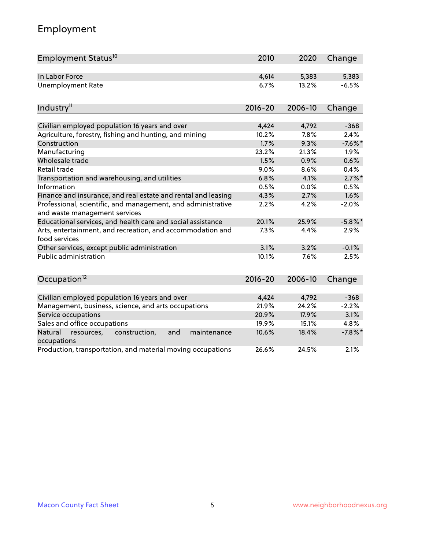# Employment

| Employment Status <sup>10</sup>                                                               | 2010        | 2020    | Change     |
|-----------------------------------------------------------------------------------------------|-------------|---------|------------|
| In Labor Force                                                                                | 4,614       | 5,383   | 5,383      |
| <b>Unemployment Rate</b>                                                                      | 6.7%        | 13.2%   | $-6.5%$    |
| Industry <sup>11</sup>                                                                        | $2016 - 20$ | 2006-10 | Change     |
|                                                                                               |             |         |            |
| Civilian employed population 16 years and over                                                | 4,424       | 4,792   | $-368$     |
| Agriculture, forestry, fishing and hunting, and mining                                        | 10.2%       | 7.8%    | 2.4%       |
| Construction                                                                                  | 1.7%        | 9.3%    | $-7.6%$ *  |
| Manufacturing                                                                                 | 23.2%       | 21.3%   | 1.9%       |
| Wholesale trade                                                                               | 1.5%        | 0.9%    | 0.6%       |
| Retail trade                                                                                  | 9.0%        | 8.6%    | 0.4%       |
| Transportation and warehousing, and utilities                                                 | 6.8%        | 4.1%    | $2.7\%$ *  |
| Information                                                                                   | 0.5%        | 0.0%    | 0.5%       |
| Finance and insurance, and real estate and rental and leasing                                 | 4.3%        | 2.7%    | 1.6%       |
| Professional, scientific, and management, and administrative<br>and waste management services | 2.2%        | 4.2%    | $-2.0%$    |
| Educational services, and health care and social assistance                                   | 20.1%       | 25.9%   | $-5.8\%$ * |
| Arts, entertainment, and recreation, and accommodation and<br>food services                   | 7.3%        | 4.4%    | $2.9\%$    |
| Other services, except public administration                                                  | 3.1%        | 3.2%    | $-0.1%$    |
| <b>Public administration</b>                                                                  | 10.1%       | 7.6%    | 2.5%       |
| Occupation <sup>12</sup>                                                                      | $2016 - 20$ | 2006-10 | Change     |
|                                                                                               |             |         |            |
| Civilian employed population 16 years and over                                                | 4,424       | 4,792   | $-368$     |
| Management, business, science, and arts occupations                                           | 21.9%       | 24.2%   | $-2.2%$    |
| Service occupations                                                                           | 20.9%       | 17.9%   | 3.1%       |
| Sales and office occupations                                                                  | 19.9%       | 15.1%   | 4.8%       |
| Natural<br>resources,<br>construction,<br>and<br>maintenance<br>occupations                   | 10.6%       | 18.4%   | $-7.8\%$ * |
| Production, transportation, and material moving occupations                                   | 26.6%       | 24.5%   | 2.1%       |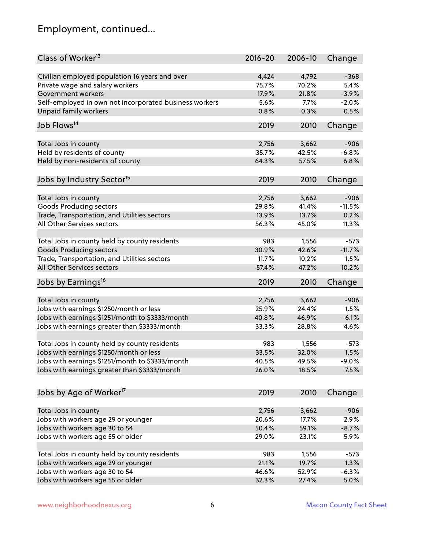# Employment, continued...

| Class of Worker <sup>13</sup>                                       | $2016 - 20$    | 2006-10        | Change          |
|---------------------------------------------------------------------|----------------|----------------|-----------------|
| Civilian employed population 16 years and over                      | 4,424          | 4,792          | $-368$          |
| Private wage and salary workers                                     | 75.7%          | 70.2%          | 5.4%            |
| Government workers                                                  | 17.9%          | 21.8%          | $-3.9%$         |
| Self-employed in own not incorporated business workers              | 5.6%           | 7.7%           | $-2.0%$         |
| Unpaid family workers                                               | 0.8%           | 0.3%           | 0.5%            |
|                                                                     |                |                |                 |
| Job Flows <sup>14</sup>                                             | 2019           | 2010           | Change          |
| Total Jobs in county                                                | 2,756          | 3,662          | $-906$          |
| Held by residents of county                                         | 35.7%          | 42.5%          | $-6.8%$         |
| Held by non-residents of county                                     | 64.3%          | 57.5%          | 6.8%            |
|                                                                     |                |                |                 |
| Jobs by Industry Sector <sup>15</sup>                               | 2019           | 2010           | Change          |
| Total Jobs in county                                                | 2,756          | 3,662          | $-906$          |
| Goods Producing sectors                                             | 29.8%          | 41.4%          | $-11.5%$        |
| Trade, Transportation, and Utilities sectors                        | 13.9%          | 13.7%          | 0.2%            |
| All Other Services sectors                                          | 56.3%          | 45.0%          | 11.3%           |
|                                                                     |                |                |                 |
| Total Jobs in county held by county residents                       | 983            | 1,556          | $-573$          |
| <b>Goods Producing sectors</b>                                      | 30.9%          | 42.6%          | $-11.7%$        |
| Trade, Transportation, and Utilities sectors                        | 11.7%          | 10.2%          | 1.5%            |
| All Other Services sectors                                          | 57.4%          | 47.2%          | 10.2%           |
| Jobs by Earnings <sup>16</sup>                                      | 2019           | 2010           | Change          |
|                                                                     |                |                | $-906$          |
| Total Jobs in county                                                | 2,756          | 3,662          |                 |
| Jobs with earnings \$1250/month or less                             | 25.9%<br>40.8% | 24.4%<br>46.9% | 1.5%<br>$-6.1%$ |
| Jobs with earnings \$1251/month to \$3333/month                     |                |                |                 |
| Jobs with earnings greater than \$3333/month                        | 33.3%          | 28.8%          | 4.6%            |
| Total Jobs in county held by county residents                       | 983            | 1,556          | $-573$          |
| Jobs with earnings \$1250/month or less                             | 33.5%          | 32.0%          | 1.5%            |
| Jobs with earnings \$1251/month to \$3333/month                     | 40.5%          | 49.5%          | $-9.0\%$        |
| Jobs with earnings greater than \$3333/month                        | 26.0%          | 18.5%          | 7.5%            |
|                                                                     |                |                |                 |
| Jobs by Age of Worker <sup>17</sup>                                 | 2019           | 2010           | Change          |
|                                                                     |                | 3,662          | $-906$          |
| Total Jobs in county<br>Jobs with workers age 29 or younger         | 2,756<br>20.6% | 17.7%          | 2.9%            |
|                                                                     | 50.4%          | 59.1%          | $-8.7%$         |
| Jobs with workers age 30 to 54<br>Jobs with workers age 55 or older | 29.0%          |                |                 |
|                                                                     |                | 23.1%          | 5.9%            |
| Total Jobs in county held by county residents                       | 983            | 1,556          | $-573$          |
| Jobs with workers age 29 or younger                                 | 21.1%          | 19.7%          | 1.3%            |
| Jobs with workers age 30 to 54                                      | 46.6%          | 52.9%          | $-6.3%$         |
| Jobs with workers age 55 or older                                   | 32.3%          | 27.4%          | 5.0%            |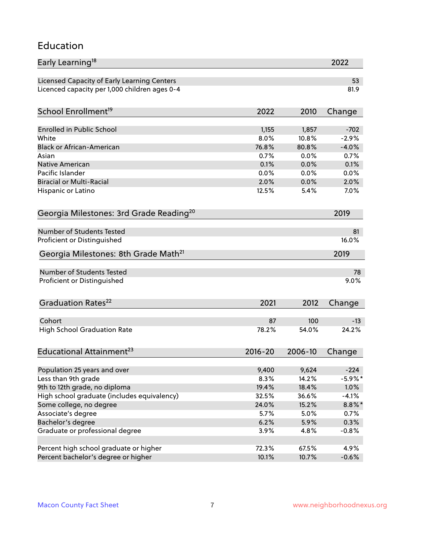#### Education

| Early Learning <sup>18</sup>                        |             |         | 2022       |
|-----------------------------------------------------|-------------|---------|------------|
| Licensed Capacity of Early Learning Centers         |             |         | 53         |
| Licenced capacity per 1,000 children ages 0-4       |             |         | 81.9       |
| School Enrollment <sup>19</sup>                     | 2022        | 2010    | Change     |
|                                                     |             |         |            |
| <b>Enrolled in Public School</b>                    | 1,155       | 1,857   | $-702$     |
| White                                               | 8.0%        | 10.8%   | $-2.9%$    |
| <b>Black or African-American</b>                    | 76.8%       | 80.8%   | $-4.0%$    |
| Asian                                               | 0.7%        | 0.0%    | 0.7%       |
| Native American                                     | 0.1%        | 0.0%    | 0.1%       |
| Pacific Islander                                    | 0.0%        | 0.0%    | 0.0%       |
| <b>Biracial or Multi-Racial</b>                     | 2.0%        | 0.0%    | 2.0%       |
| Hispanic or Latino                                  | 12.5%       | 5.4%    | 7.0%       |
| Georgia Milestones: 3rd Grade Reading <sup>20</sup> |             |         | 2019       |
|                                                     |             |         |            |
| <b>Number of Students Tested</b>                    |             |         | 81         |
| Proficient or Distinguished                         |             |         | 16.0%      |
| Georgia Milestones: 8th Grade Math <sup>21</sup>    |             |         | 2019       |
| <b>Number of Students Tested</b>                    |             |         | 78         |
| Proficient or Distinguished                         |             |         | 9.0%       |
|                                                     |             |         |            |
| Graduation Rates <sup>22</sup>                      | 2021        | 2012    | Change     |
| Cohort                                              | 87          | 100     | $-13$      |
| <b>High School Graduation Rate</b>                  | 78.2%       | 54.0%   | 24.2%      |
|                                                     |             |         |            |
| Educational Attainment <sup>23</sup>                | $2016 - 20$ | 2006-10 | Change     |
| Population 25 years and over                        | 9,400       | 9,624   | $-224$     |
| Less than 9th grade                                 | 8.3%        | 14.2%   | $-5.9\%$ * |
| 9th to 12th grade, no diploma                       | 19.4%       | 18.4%   | 1.0%       |
| High school graduate (includes equivalency)         | 32.5%       | 36.6%   | $-4.1%$    |
|                                                     |             |         |            |
| Some college, no degree                             | 24.0%       | 15.2%   | $8.8\%$ *  |
| Associate's degree                                  | 5.7%        | 5.0%    | 0.7%       |
| Bachelor's degree                                   | 6.2%        | 5.9%    | 0.3%       |
| Graduate or professional degree                     | 3.9%        | 4.8%    | $-0.8%$    |
| Percent high school graduate or higher              | 72.3%       | 67.5%   | 4.9%       |
| Percent bachelor's degree or higher                 | 10.1%       | 10.7%   | $-0.6%$    |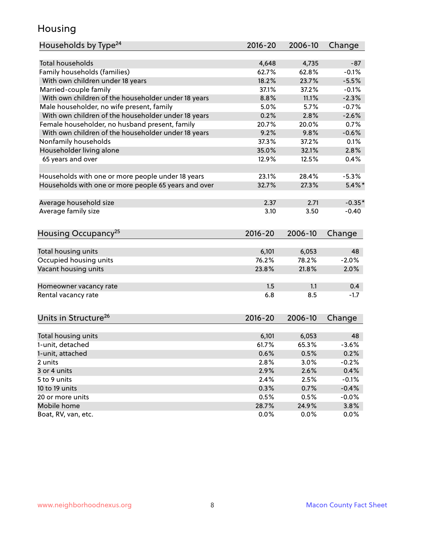### Housing

| Households by Type <sup>24</sup>                     | 2016-20     | 2006-10 | Change    |
|------------------------------------------------------|-------------|---------|-----------|
|                                                      |             |         |           |
| <b>Total households</b>                              | 4,648       | 4,735   | $-87$     |
| Family households (families)                         | 62.7%       | 62.8%   | $-0.1%$   |
| With own children under 18 years                     | 18.2%       | 23.7%   | $-5.5%$   |
| Married-couple family                                | 37.1%       | 37.2%   | $-0.1%$   |
| With own children of the householder under 18 years  | 8.8%        | 11.1%   | $-2.3%$   |
| Male householder, no wife present, family            | 5.0%        | 5.7%    | $-0.7%$   |
| With own children of the householder under 18 years  | 0.2%        | 2.8%    | $-2.6%$   |
| Female householder, no husband present, family       | 20.7%       | 20.0%   | 0.7%      |
| With own children of the householder under 18 years  | 9.2%        | 9.8%    | $-0.6%$   |
| Nonfamily households                                 | 37.3%       | 37.2%   | 0.1%      |
| Householder living alone                             | 35.0%       | 32.1%   | 2.8%      |
| 65 years and over                                    | 12.9%       | 12.5%   | 0.4%      |
| Households with one or more people under 18 years    | 23.1%       | 28.4%   | $-5.3%$   |
| Households with one or more people 65 years and over | 32.7%       | 27.3%   | $5.4\%$ * |
|                                                      |             |         |           |
| Average household size                               | 2.37        | 2.71    | $-0.35*$  |
| Average family size                                  | 3.10        | 3.50    | $-0.40$   |
| Housing Occupancy <sup>25</sup>                      | $2016 - 20$ | 2006-10 | Change    |
|                                                      |             |         |           |
| Total housing units                                  | 6,101       | 6,053   | 48        |
| Occupied housing units                               | 76.2%       | 78.2%   | $-2.0%$   |
| Vacant housing units                                 | 23.8%       | 21.8%   | 2.0%      |
| Homeowner vacancy rate                               | 1.5         | 1.1     | 0.4       |
| Rental vacancy rate                                  | 6.8         | 8.5     | $-1.7$    |
|                                                      |             |         |           |
| Units in Structure <sup>26</sup>                     | $2016 - 20$ | 2006-10 | Change    |
|                                                      |             |         |           |
| Total housing units                                  | 6,101       | 6,053   | 48        |
| 1-unit, detached                                     | 61.7%       | 65.3%   | $-3.6%$   |
| 1-unit, attached                                     | 0.6%        | 0.5%    | 0.2%      |
| 2 units                                              | 2.8%        | 3.0%    | $-0.2%$   |
| 3 or 4 units                                         | 2.9%        | 2.6%    | 0.4%      |
| 5 to 9 units                                         | 2.4%        | 2.5%    | $-0.1%$   |
| 10 to 19 units                                       | 0.3%        | 0.7%    | $-0.4%$   |
| 20 or more units                                     | 0.5%        | 0.5%    | $-0.0%$   |
| Mobile home                                          | 28.7%       | 24.9%   | 3.8%      |
| Boat, RV, van, etc.                                  | 0.0%        | 0.0%    | $0.0\%$   |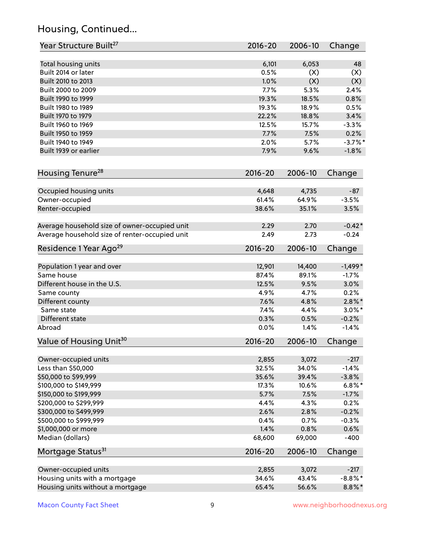# Housing, Continued...

| Year Structure Built <sup>27</sup>             | 2016-20     | 2006-10 | Change     |
|------------------------------------------------|-------------|---------|------------|
| Total housing units                            | 6,101       | 6,053   | 48         |
| Built 2014 or later                            | 0.5%        | (X)     | (X)        |
| Built 2010 to 2013                             | 1.0%        | (X)     | (X)        |
| Built 2000 to 2009                             | 7.7%        | 5.3%    | 2.4%       |
| Built 1990 to 1999                             | 19.3%       | 18.5%   | 0.8%       |
| Built 1980 to 1989                             | 19.3%       | 18.9%   | 0.5%       |
| Built 1970 to 1979                             | 22.2%       | 18.8%   | 3.4%       |
| Built 1960 to 1969                             | 12.5%       | 15.7%   | $-3.3%$    |
| Built 1950 to 1959                             | 7.7%        | 7.5%    | 0.2%       |
| Built 1940 to 1949                             | 2.0%        | 5.7%    | $-3.7\%$ * |
|                                                |             |         |            |
| Built 1939 or earlier                          | 7.9%        | 9.6%    | $-1.8%$    |
| Housing Tenure <sup>28</sup>                   | $2016 - 20$ | 2006-10 | Change     |
|                                                |             |         |            |
| Occupied housing units                         | 4,648       | 4,735   | $-87$      |
| Owner-occupied                                 | 61.4%       | 64.9%   | $-3.5%$    |
| Renter-occupied                                | 38.6%       | 35.1%   | 3.5%       |
| Average household size of owner-occupied unit  | 2.29        | 2.70    | $-0.42*$   |
| Average household size of renter-occupied unit | 2.49        | 2.73    | $-0.24$    |
| Residence 1 Year Ago <sup>29</sup>             | $2016 - 20$ | 2006-10 | Change     |
|                                                |             |         |            |
| Population 1 year and over<br>Same house       | 12,901      | 14,400  | $-1,499*$  |
|                                                | 87.4%       | 89.1%   | $-1.7%$    |
| Different house in the U.S.                    | 12.5%       | 9.5%    | 3.0%       |
| Same county                                    | 4.9%        | 4.7%    | 0.2%       |
| Different county                               | 7.6%        | 4.8%    | $2.8\%$ *  |
| Same state                                     | 7.4%        | 4.4%    | $3.0\%$ *  |
| Different state                                | 0.3%        | 0.5%    | $-0.2%$    |
| Abroad                                         | 0.0%        | 1.4%    | $-1.4%$    |
| Value of Housing Unit <sup>30</sup>            | $2016 - 20$ | 2006-10 | Change     |
| Owner-occupied units                           | 2,855       | 3,072   | $-217$     |
| Less than \$50,000                             | 32.5%       | 34.0%   | $-1.4%$    |
| \$50,000 to \$99,999                           | 35.6%       | 39.4%   | $-3.8%$    |
| \$100,000 to \$149,999                         | 17.3%       | 10.6%   | $6.8\%$ *  |
| \$150,000 to \$199,999                         | 5.7%        | 7.5%    | $-1.7%$    |
| \$200,000 to \$299,999                         | 4.4%        | 4.3%    | 0.2%       |
| \$300,000 to \$499,999                         | 2.6%        | 2.8%    | $-0.2%$    |
| \$500,000 to \$999,999                         | 0.4%        | 0.7%    | $-0.3%$    |
| \$1,000,000 or more                            | 1.4%        | 0.8%    | 0.6%       |
| Median (dollars)                               | 68,600      | 69,000  | $-400$     |
| Mortgage Status <sup>31</sup>                  | $2016 - 20$ | 2006-10 | Change     |
|                                                |             |         |            |
| Owner-occupied units                           | 2,855       | 3,072   | $-217$     |
| Housing units with a mortgage                  | 34.6%       | 43.4%   | $-8.8\%$ * |
| Housing units without a mortgage               | 65.4%       | 56.6%   | $8.8\%$ *  |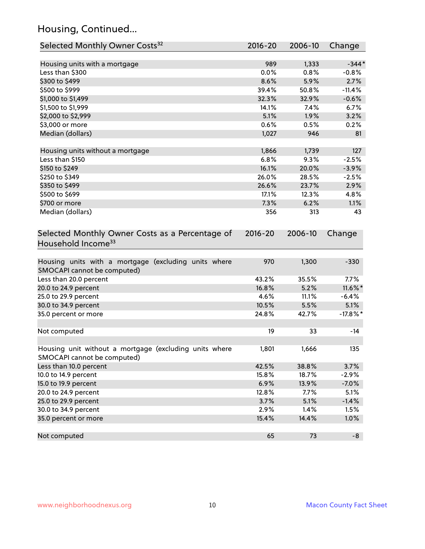# Housing, Continued...

| Selected Monthly Owner Costs <sup>32</sup>                                            | 2016-20     | 2006-10 | Change      |
|---------------------------------------------------------------------------------------|-------------|---------|-------------|
| Housing units with a mortgage                                                         | 989         | 1,333   | $-344*$     |
| Less than \$300                                                                       | 0.0%        | 0.8%    | $-0.8%$     |
| \$300 to \$499                                                                        | 8.6%        | 5.9%    | 2.7%        |
| \$500 to \$999                                                                        | 39.4%       | 50.8%   | $-11.4%$    |
| \$1,000 to \$1,499                                                                    | 32.3%       | 32.9%   | $-0.6%$     |
| \$1,500 to \$1,999                                                                    | 14.1%       | 7.4%    | 6.7%        |
| \$2,000 to \$2,999                                                                    | 5.1%        | 1.9%    | 3.2%        |
| \$3,000 or more                                                                       | 0.6%        | 0.5%    | 0.2%        |
| Median (dollars)                                                                      | 1,027       | 946     | 81          |
|                                                                                       |             |         |             |
| Housing units without a mortgage                                                      | 1,866       | 1,739   | 127         |
| Less than \$150                                                                       | 6.8%        | 9.3%    | $-2.5%$     |
| \$150 to \$249                                                                        | 16.1%       | 20.0%   | $-3.9%$     |
| \$250 to \$349                                                                        | 26.0%       | 28.5%   | $-2.5%$     |
| \$350 to \$499                                                                        | 26.6%       | 23.7%   | 2.9%        |
| \$500 to \$699                                                                        | 17.1%       | 12.3%   | 4.8%        |
| \$700 or more                                                                         | 7.3%        | 6.2%    | 1.1%        |
| Median (dollars)                                                                      | 356         | 313     | 43          |
| Selected Monthly Owner Costs as a Percentage of<br>Household Income <sup>33</sup>     | $2016 - 20$ | 2006-10 | Change      |
| Housing units with a mortgage (excluding units where<br>SMOCAPI cannot be computed)   | 970         | 1,300   | $-330$      |
| Less than 20.0 percent                                                                | 43.2%       | 35.5%   | 7.7%        |
| 20.0 to 24.9 percent                                                                  | 16.8%       | 5.2%    | 11.6%*      |
| 25.0 to 29.9 percent                                                                  | 4.6%        | 11.1%   | $-6.4%$     |
| 30.0 to 34.9 percent                                                                  | 10.5%       | 5.5%    | 5.1%        |
| 35.0 percent or more                                                                  | 24.8%       | 42.7%   | $-17.8\%$ * |
| Not computed                                                                          | 19          | 33      | $-14$       |
| Housing unit without a mortgage (excluding units where<br>SMOCAPI cannot be computed) | 1,801       | 1,666   | 135         |
| Less than 10.0 percent                                                                | 42.5%       | 38.8%   | 3.7%        |
| 10.0 to 14.9 percent                                                                  | 15.8%       | 18.7%   | $-2.9%$     |
| 15.0 to 19.9 percent                                                                  | 6.9%        | 13.9%   | $-7.0%$     |
| 20.0 to 24.9 percent                                                                  | 12.8%       | 7.7%    | 5.1%        |
| 25.0 to 29.9 percent                                                                  | 3.7%        | 5.1%    | $-1.4%$     |
| 30.0 to 34.9 percent                                                                  | 2.9%        | 1.4%    | 1.5%        |
| 35.0 percent or more                                                                  | 15.4%       | 14.4%   | 1.0%        |
| Not computed                                                                          | 65          | 73      | $-8$        |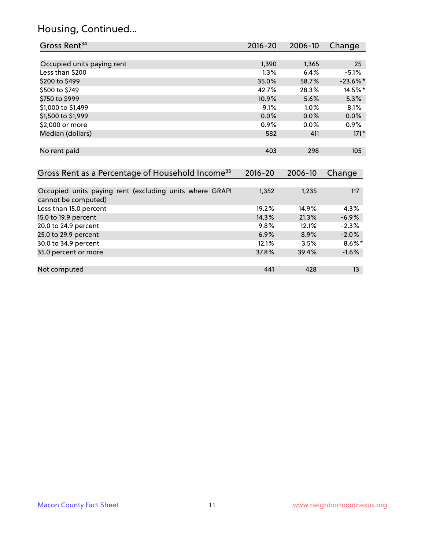# Housing, Continued...

| Gross Rent <sup>34</sup>                                                       | $2016 - 20$ | 2006-10 | Change      |
|--------------------------------------------------------------------------------|-------------|---------|-------------|
|                                                                                |             |         |             |
| Occupied units paying rent                                                     | 1,390       | 1,365   | 25          |
| Less than \$200                                                                | 1.3%        | 6.4%    | $-5.1%$     |
| \$200 to \$499                                                                 | 35.0%       | 58.7%   | $-23.6\%$ * |
| \$500 to \$749                                                                 | 42.7%       | 28.3%   | 14.5%*      |
| \$750 to \$999                                                                 | 10.9%       | 5.6%    | 5.3%        |
| \$1,000 to \$1,499                                                             | 9.1%        | 1.0%    | 8.1%        |
| \$1,500 to \$1,999                                                             | $0.0\%$     | 0.0%    | 0.0%        |
| \$2,000 or more                                                                | 0.9%        | 0.0%    | $0.9\%$     |
| Median (dollars)                                                               | 582         | 411     | $171*$      |
| No rent paid                                                                   | 403         | 298     | 105         |
| Gross Rent as a Percentage of Household Income <sup>35</sup>                   | $2016 - 20$ | 2006-10 | Change      |
| Occupied units paying rent (excluding units where GRAPI<br>cannot be computed) | 1,352       | 1,235   | 117         |
| Less than 15.0 percent                                                         | 19.2%       | 14.9%   | 4.3%        |
| 15.0 to 19.9 percent                                                           | 14.3%       | 21.3%   | $-6.9%$     |
| 20.0 to 24.9 percent                                                           | 9.8%        | 12.1%   | $-2.3%$     |
| 25.0 to 29.9 percent                                                           | 6.9%        | 8.9%    | $-2.0%$     |
| 30.0 to 34.9 percent                                                           | 12.1%       | 3.5%    | $8.6\%$ *   |
| 35.0 percent or more                                                           | 37.8%       | 39.4%   | $-1.6%$     |
| Not computed                                                                   | 441         | 428     | 13          |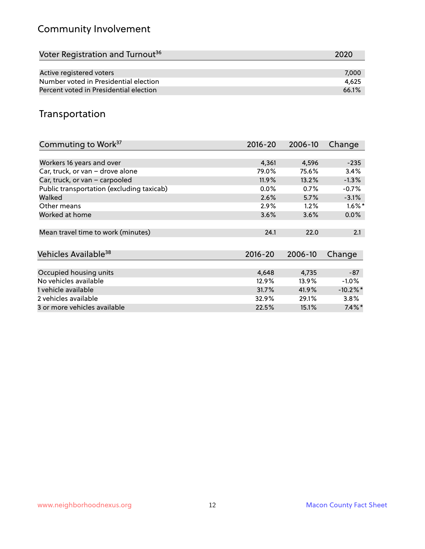# Community Involvement

| Voter Registration and Turnout <sup>36</sup> | 2020  |
|----------------------------------------------|-------|
|                                              |       |
| Active registered voters                     | 7,000 |
| Number voted in Presidential election        | 4.625 |
| Percent voted in Presidential election       | 66.1% |

# Transportation

| Commuting to Work <sup>37</sup>           | $2016 - 20$ | 2006-10 | Change               |
|-------------------------------------------|-------------|---------|----------------------|
|                                           |             |         |                      |
| Workers 16 years and over                 | 4,361       | 4,596   | $-235$               |
| Car, truck, or van - drove alone          | 79.0%       | 75.6%   | 3.4%                 |
| Car, truck, or van - carpooled            | 11.9%       | 13.2%   | $-1.3%$              |
| Public transportation (excluding taxicab) | $0.0\%$     | 0.7%    | $-0.7%$              |
| Walked                                    | 2.6%        | 5.7%    | $-3.1%$              |
| Other means                               | 2.9%        | 1.2%    | $1.6\%$ <sup>*</sup> |
| Worked at home                            | 3.6%        | 3.6%    | $0.0\%$              |
| Mean travel time to work (minutes)        | 24.1        | 22.0    | 2.1                  |
| Vehicles Available <sup>38</sup>          | $2016 - 20$ | 2006-10 | Change               |
| Occupied housing units                    | 4,648       | 4,735   | $-87$                |
| No vehicles available                     | 12.9%       | 13.9%   | $-1.0\%$             |
| 1 vehicle available                       | 31.7%       | 41.9%   | $-10.2\%$ *          |
| 2 vehicles available                      | 32.9%       | 29.1%   | 3.8%                 |
| 3 or more vehicles available              | 22.5%       | 15.1%   | $7.4\%$ *            |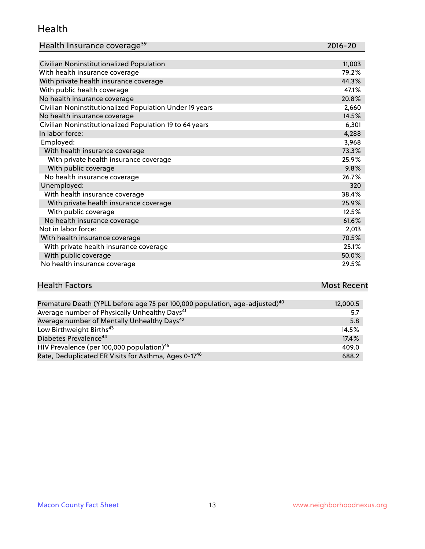#### Health

| Health Insurance coverage <sup>39</sup> | 2016-20 |
|-----------------------------------------|---------|
|-----------------------------------------|---------|

| Civilian Noninstitutionalized Population                | 11,003 |
|---------------------------------------------------------|--------|
| With health insurance coverage                          | 79.2%  |
| With private health insurance coverage                  | 44.3%  |
| With public health coverage                             | 47.1%  |
| No health insurance coverage                            | 20.8%  |
| Civilian Noninstitutionalized Population Under 19 years | 2,660  |
| No health insurance coverage                            | 14.5%  |
| Civilian Noninstitutionalized Population 19 to 64 years | 6,301  |
| In labor force:                                         | 4,288  |
| Employed:                                               | 3,968  |
| With health insurance coverage                          | 73.3%  |
| With private health insurance coverage                  | 25.9%  |
| With public coverage                                    | 9.8%   |
| No health insurance coverage                            | 26.7%  |
| Unemployed:                                             | 320    |
| With health insurance coverage                          | 38.4%  |
| With private health insurance coverage                  | 25.9%  |
| With public coverage                                    | 12.5%  |
| No health insurance coverage                            | 61.6%  |
| Not in labor force:                                     | 2,013  |
| With health insurance coverage                          | 70.5%  |
| With private health insurance coverage                  | 25.1%  |
| With public coverage                                    | 50.0%  |
| No health insurance coverage                            | 29.5%  |

| <b>Health Factors</b> |  |                     |  |  |  |  |          | <b>Most Recent</b> |  |  |
|-----------------------|--|---------------------|--|--|--|--|----------|--------------------|--|--|
|                       |  |                     |  |  |  |  |          |                    |  |  |
|                       |  | _ _ _ _ _ _ _ _ _ _ |  |  |  |  | $\cdots$ |                    |  |  |

| Premature Death (YPLL before age 75 per 100,000 population, age-adjusted) <sup>40</sup> | 12,000.5 |
|-----------------------------------------------------------------------------------------|----------|
| Average number of Physically Unhealthy Days <sup>41</sup>                               | 5.7      |
| Average number of Mentally Unhealthy Days <sup>42</sup>                                 | 5.8      |
| Low Birthweight Births <sup>43</sup>                                                    | 14.5%    |
| Diabetes Prevalence <sup>44</sup>                                                       | 17.4%    |
| HIV Prevalence (per 100,000 population) <sup>45</sup>                                   | 409.0    |
| Rate, Deduplicated ER Visits for Asthma, Ages 0-17 <sup>46</sup>                        | 688.2    |